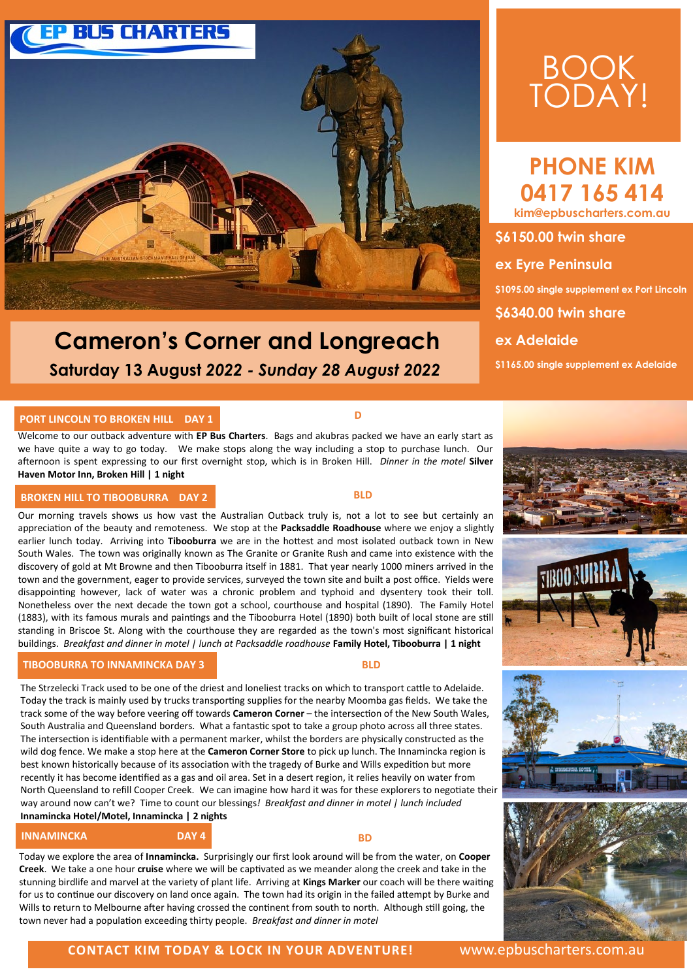

## **Cameron's Corner and Longreach Saturday 13 August** *2022 - Sunday 28 August 2022*

# BOOK TODAY!

**PHONE KIM 0417 165 414 kim@epbuscharters.com.au** 

**\$6150.00 twin share ex Eyre Peninsula \$1095.00 single supplement ex Port Lincoln \$6340.00 twin share ex Adelaide \$1165.00 single supplement ex Adelaide** 

#### **PORT LINCOLN TO BROKEN HILL DAY 1**

Welcome to our outback adventure with **EP Bus Charters**. Bags and akubras packed we have an early start as we have quite a way to go today. We make stops along the way including a stop to purchase lunch. Our afternoon is spent expressing to our first overnight stop, which is in Broken Hill. *Dinner in the motel* **Silver Haven Motor Inn, Broken Hill | 1 night**

### **BROKEN HILL TO TIBOOBURRA DAY 2 BLD**

Our morning travels shows us how vast the Australian Outback truly is, not a lot to see but certainly an appreciation of the beauty and remoteness. We stop at the **Packsaddle Roadhouse** where we enjoy a slightly earlier lunch today. Arriving into **Tibooburra** we are in the hottest and most isolated outback town in New South Wales. The town was originally known as The Granite or Granite Rush and came into existence with the discovery of gold at Mt Browne and then Tibooburra itself in 1881. That year nearly 1000 miners arrived in the town and the government, eager to provide services, surveyed the town site and built a post office. Yields were disappointing however, lack of water was a chronic problem and typhoid and dysentery took their toll. Nonetheless over the next decade the town got a school, courthouse and hospital (1890). The Family Hotel (1883), with its famous murals and paintings and the Tibooburra Hotel (1890) both built of local stone are still standing in Briscoe St. Along with the courthouse they are regarded as the town's most significant historical buildings. *Breakfast and dinner in motel | lunch at Packsaddle roadhouse* **Family Hotel, Tibooburra | 1 night**

#### **TIBOOBURRA TO INNAMINCKA DAY 3** BLD

The Strzelecki Track used to be one of the driest and loneliest tracks on which to transport cattle to Adelaide. Today the track is mainly used by trucks transporting supplies for the nearby Moomba gas fields. We take the track some of the way before veering off towards **Cameron Corner** – the intersection of the New South Wales, South Australia and Queensland borders. What a fantastic spot to take a group photo across all three states. The intersection is identifiable with a permanent marker, whilst the borders are physically constructed as the wild dog fence. We make a stop here at the **Cameron Corner Store** to pick up lunch. The Innamincka region is best known historically because of its association with the tragedy of Burke and Wills expedition but more recently it has become identified as a gas and oil area. Set in a desert region, it relies heavily on water from North Queensland to refill Cooper Creek. We can imagine how hard it was for these explorers to negotiate their way around now can't we? Time to count our blessings*! Breakfast and dinner in motel | lunch included*  **Innamincka Hotel/Motel, Innamincka | 2 nights**

**INNAMINCKA**<br> **DAY 4** BD

Today we explore the area of **Innamincka.** Surprisingly our first look around will be from the water, on **Cooper Creek**. We take a one hour **cruise** where we will be captivated as we meander along the creek and take in the stunning birdlife and marvel at the variety of plant life. Arriving at **Kings Marker** our coach will be there waiting for us to continue our discovery on land once again. The town had its origin in the failed attempt by Burke and Wills to return to Melbourne after having crossed the continent from south to north. Although still going, the town never had a population exceeding thirty people. *Breakfast and dinner in motel*







#### **CONTACT KIM TODAY & LOCK IN YOUR ADVENTURE!** www.epbuscharters.com.au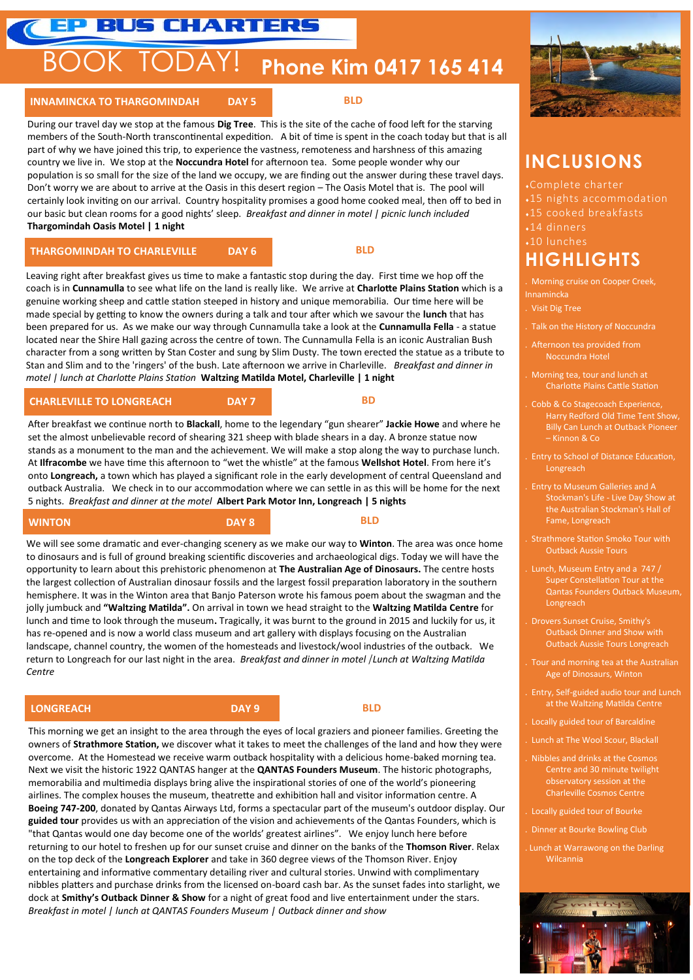### **EP BUS CHARTERS**

# BOOK TODAY! **Phone Kim 0417 165 414**

#### **INNAMINCKA TO THARGOMINDAH DAY 5**

 **BLD**

During our travel day we stop at the famous **Dig Tree**. This is the site of the cache of food left for the starving members of the South-North transcontinental expedition. A bit of time is spent in the coach today but that is all part of why we have joined this trip, to experience the vastness, remoteness and harshness of this amazing country we live in. We stop at the **Noccundra Hotel** for afternoon tea. Some people wonder why our population is so small for the size of the land we occupy, we are finding out the answer during these travel days. Don't worry we are about to arrive at the Oasis in this desert region – The Oasis Motel that is. The pool will certainly look inviting on our arrival. Country hospitality promises a good home cooked meal, then off to bed in our basic but clean rooms for a good nights' sleep. *Breakfast and dinner in motel | picnic lunch included*  **Thargomindah Oasis Motel | 1 night**

#### **THARGOMINDAH TO CHARLEVILLE BAY 6 BLD**

Leaving right after breakfast gives us time to make a fantastic stop during the day. First time we hop off the coach is in **Cunnamulla** to see what life on the land is really like. We arrive at **Charlotte Plains Station** which is a genuine working sheep and cattle station steeped in history and unique memorabilia. Our time here will be made special by getting to know the owners during a talk and tour after which we savour the **lunch** that has been prepared for us. As we make our way through Cunnamulla take a look at the **Cunnamulla Fella** - a statue located near the Shire Hall gazing across the centre of town. The Cunnamulla Fella is an iconic Australian Bush character from a song written by Stan Coster and sung by Slim Dusty. The town erected the statue as a tribute to Stan and Slim and to the 'ringers' of the bush. Late afternoon we arrive in Charleville. *Breakfast and dinner in motel | lunch at Charlotte Plains Station* **Waltzing Matilda Motel, Charleville | 1 night**

#### **CHARLEVILLE TO LONGREACH DAY 7**

 **BD**

After breakfast we continue north to **Blackall**, home to the legendary "gun shearer" **Jackie Howe** and where he set the almost unbelievable record of shearing 321 sheep with blade shears in a day. A bronze statue now stands as a monument to the man and the achievement. We will make a stop along the way to purchase lunch. At **Ilfracombe** we have time this afternoon to "wet the whistle" at the famous **Wellshot Hotel**. From here it's onto **Longreach,** a town which has played a significant role in the early development of central Queensland and outback Australia. We check in to our accommodation where we can settle in as this will be home for the next 5 nights. *Breakfast and dinner at the motel* **Albert Park Motor Inn, Longreach | 5 nights**

**WINTON DAY 8 BLD**

We will see some dramatic and ever-changing scenery as we make our way to **Winton**. The area was once home to dinosaurs and is full of ground breaking scientific discoveries and archaeological digs. Today we will have the opportunity to learn about this prehistoric phenomenon at **The Australian Age of Dinosaurs.** The centre hosts the largest collection of Australian dinosaur fossils and the largest fossil preparation laboratory in the southern hemisphere. It was in the Winton area that Banjo Paterson wrote his famous poem about the swagman and the jolly jumbuck and **"Waltzing Matilda".** On arrival in town we head straight to the **Waltzing Matilda Centre** for lunch and time to look through the museum**.** Tragically, it was burnt to the ground in 2015 and luckily for us, it has re-opened and is now a world class museum and art gallery with displays focusing on the Australian landscape, channel country, the women of the homesteads and livestock/wool industries of the outback. We return to Longreach for our last night in the area. *Breakfast and dinner in motel* | *Lunch at Waltzing Matilda Centre*

#### **LONGREACH <b>DAY 9 BLD**

This morning we get an insight to the area through the eyes of local graziers and pioneer families. Greeting the owners of **Strathmore Station,** we discover what it takes to meet the challenges of the land and how they were overcome. At the Homestead we receive warm outback hospitality with a delicious home-baked morning tea. Next we visit the historic 1922 QANTAS hanger at the **QANTAS Founders Museum**. The historic photographs, memorabilia and multimedia displays bring alive the inspirational stories of one of the world's pioneering airlines. The complex houses the museum, theatrette and exhibition hall and visitor information centre. A **Boeing 747-200**, donated by Qantas Airways Ltd, forms a spectacular part of the museum's outdoor display. Our **guided tour** provides us with an appreciation of the vision and achievements of the Qantas Founders, which is "that Qantas would one day become one of the worlds' greatest airlines". We enjoy lunch here before returning to our hotel to freshen up for our sunset cruise and dinner on the banks of the **Thomson River**. Relax on the top deck of the **Longreach Explorer** and take in 360 degree views of the Thomson River. Enjoy entertaining and informative commentary detailing river and cultural stories. Unwind with complimentary nibbles platters and purchase drinks from the licensed on-board cash bar. As the sunset fades into starlight, we dock at **Smithy's Outback Dinner & Show** for a night of great food and live entertainment under the stars. *Breakfast in motel | lunch at QANTAS Founders Museum | Outback dinner and show*



### **INCLUSIONS**

- 15 nights accommodation
- 15 cooked breakfasts
- $\sqrt{14}$  dinners
- 10 lunches

### **HIGHLIGHTS**

. Morning cruise on Cooper Creek, Innamincka

- . Visit Dig Tree
- . Talk on the History of Noccundra
- . Afternoon tea provided from Noccundra Hotel
	- . Morning tea, tour and lunch at Charlotte Plains Cattle Station
	- . Cobb & Co Stagecoach Experience, Harry Redford Old Time Tent Show, Billy Can Lunch at Outback Pioneer – Kinnon & Co
	- . Entry to School of Distance Education, Longreach
	- . Entry to Museum Galleries and A Stockman's Life - Live Day Show at Fame, Longreach
	- Outback Aussie Tours
- . Lunch, Museum Entry and a 747 / Super Constellation Tour at the Qantas Founders Outback Museum, Longreach
- . Drovers Sunset Cruise, Smithy's Outback Dinner and Show with Outback Aussie Tours Longreach
- . Tour and morning tea at the Australian Age of Dinosaurs, Winton
- . Entry, Self-guided audio tour and Lunch at the Waltzing Matilda Centre
	- . Locally guided tour of Barcaldine
- . Lunch at The Wool Scour, Blackall
- . Nibbles and drinks at the Cosmos Centre and 30 minute twilight observatory session at the
- Locally guided tour of Bourke
- . Dinner at Bourke Bowling Club
- . Lunch at Warrawong on the Darling Wilcannia

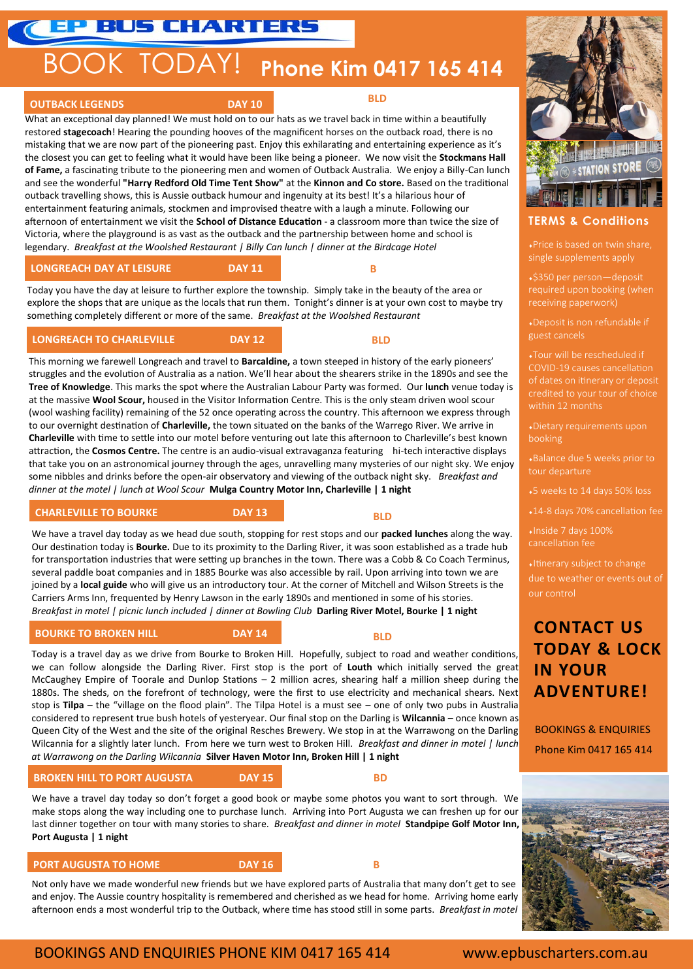# BOOK TODAY! **Phone Kim 0417 165 414**

#### **OUTBACK LEGENDS DAY 10 BLD**

What an exceptional day planned! We must hold on to our hats as we travel back in time within a beautifully restored **stagecoach**! Hearing the pounding hooves of the magnificent horses on the outback road, there is no mistaking that we are now part of the pioneering past. Enjoy this exhilarating and entertaining experience as it's the closest you can get to feeling what it would have been like being a pioneer. We now visit the **Stockmans Hall of Fame,** a fascinating tribute to the pioneering men and women of Outback Australia. We enjoy a Billy-Can lunch and see the wonderful **"Harry Redford Old Time Tent Show"** at the **Kinnon and Co store.** Based on the traditional outback travelling shows, this is Aussie outback humour and ingenuity at its best! It's a hilarious hour of entertainment featuring animals, stockmen and improvised theatre with a laugh a minute. Following our afternoon of entertainment we visit the **School of Distance Education** - a classroom more than twice the size of Victoria, where the playground is as vast as the outback and the partnership between home and school is legendary. *Breakfast at the Woolshed Restaurant | Billy Can lunch | dinner at the Birdcage Hotel*

**LONGREACH DAY AT LEISURE DAY 11**

**B** 

Today you have the day at leisure to further explore the township. Simply take in the beauty of the area or explore the shops that are unique as the locals that run them. Tonight's dinner is at your own cost to maybe try something completely different or more of the same. *Breakfast at the Woolshed Restaurant*

#### **LONGREACH TO CHARLEVILLE DAY 12**

 **BLD**

This morning we farewell Longreach and travel to **Barcaldine,** a town steeped in history of the early pioneers' struggles and the evolution of Australia as a nation. We'll hear about the shearers strike in the 1890s and see the **Tree of Knowledge**. This marks the spot where the Australian Labour Party was formed. Our **lunch** venue today is at the massive **Wool Scour,** housed in the Visitor Information Centre. This is the only steam driven wool scour (wool washing facility) remaining of the 52 once operating across the country. This afternoon we express through to our overnight destination of **Charleville,** the town situated on the banks of the Warrego River. We arrive in **Charleville** with time to settle into our motel before venturing out late this afternoon to Charleville's best known attraction, the **Cosmos Centre.** The centre is an audio-visual extravaganza featuring hi-tech interactive displays that take you on an astronomical journey through the ages, unravelling many mysteries of our night sky. We enjoy some nibbles and drinks before the open-air observatory and viewing of the outback night sky. *Breakfast and dinner at the motel | lunch at Wool Scour* **Mulga Country Motor Inn, Charleville | 1 night**

#### **CHARLEVILLE TO BOURKE DAY 13**

 **BLD**

We have a travel day today as we head due south, stopping for rest stops and our **packed lunches** along the way. Our destination today is **Bourke.** Due to its proximity to the Darling River, it was soon established as a trade hub for transportation industries that were setting up branches in the town. There was a Cobb & Co Coach Terminus, several paddle boat companies and in 1885 Bourke was also accessible by rail. Upon arriving into town we are joined by a **local guide** who will give us an introductory tour. At the corner of Mitchell and Wilson Streets is the Carriers Arms Inn, frequented by Henry Lawson in the early 1890s and mentioned in some of his stories. *Breakfast in motel | picnic lunch included | dinner at Bowling Club* **Darling River Motel, Bourke | 1 night**

#### **BOURKE TO BROKEN HILL BOURKE TO BROKEN HILL**

 **BLD**

Today is a travel day as we drive from Bourke to Broken Hill. Hopefully, subject to road and weather conditions, we can follow alongside the Darling River. First stop is the port of **Louth** which initially served the great McCaughey Empire of Toorale and Dunlop Stations – 2 million acres, shearing half a million sheep during the 1880s. The sheds, on the forefront of technology, were the first to use electricity and mechanical shears. Next stop is **Tilpa** – the "village on the flood plain". The Tilpa Hotel is a must see – one of only two pubs in Australia considered to represent true bush hotels of yesteryear. Our final stop on the Darling is **Wilcannia** – once known as Queen City of the West and the site of the original Resches Brewery. We stop in at the Warrawong on the Darling Wilcannia for a slightly later lunch. From here we turn west to Broken Hill*. Breakfast and dinner in motel | lunch at Warrawong on the Darling Wilcannia* **Silver Haven Motor Inn, Broken Hill | 1 night**

### **BROKEN HILL TO PORT AUGUSTA DAY 15**

**BD** 

We have a travel day today so don't forget a good book or maybe some photos you want to sort through. We make stops along the way including one to purchase lunch. Arriving into Port Augusta we can freshen up for our last dinner together on tour with many stories to share. *Breakfast and dinner in motel* **Standpipe Golf Motor Inn, Port Augusta | 1 night**

#### **PORT AUGUSTA TO HOME**

**B** 

Not only have we made wonderful new friends but we have explored parts of Australia that many don't get to see and enjoy. The Aussie country hospitality is remembered and cherished as we head for home. Arriving home early afternoon ends a most wonderful trip to the Outback, where time has stood still in some parts. *Breakfast in motel*



### **TERMS & Conditions**

Price is based on twin share, single supplements apply

\$350 per person—deposit required upon booking (when receiving paperwork)

guest cancels

Tour will be rescheduled if COVID-19 causes cancellation

booking

tour departure

5 weeks to 14 days 50% loss

14-8 days 70% cancellation fee

Inside 7 days 100%

Itinerary subject to change due to weather or events out of our control

### **CONTACT US TODAY & LOCK IN YOUR ADVENTURE!**

BOOKINGS & ENQUIRIES Phone Kim 0417 165 414